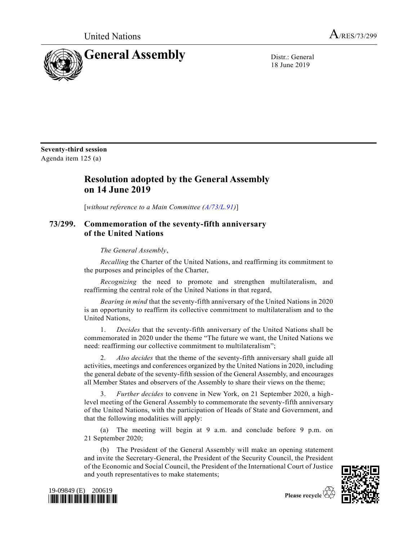United Nations  $A_{/RES/73/299}$ 



18 June 2019

**Seventy-third session** Agenda item 125 (a)

## **Resolution adopted by the General Assembly on 14 June 2019**

[*without reference to a Main Committee [\(A/73/L.91\)](https://undocs.org/A/73/L.91)*]

## **73/299. Commemoration of the seventy-fifth anniversary of the United Nations**

*The General Assembly*,

*Recalling* the Charter of the United Nations, and reaffirming its commitment to the purposes and principles of the Charter,

*Recognizing* the need to promote and strengthen multilateralism, and reaffirming the central role of the United Nations in that regard,

*Bearing in mind* that the seventy-fifth anniversary of the United Nations in 2020 is an opportunity to reaffirm its collective commitment to multilateralism and to the United Nations,

1. *Decides* that the seventy-fifth anniversary of the United Nations shall be commemorated in 2020 under the theme "The future we want, the United Nations we need: reaffirming our collective commitment to multilateralism";

2. *Also decides* that the theme of the seventy-fifth anniversary shall guide all activities, meetings and conferences organized by the United Nations in 2020, including the general debate of the seventy-fifth session of the General Assembly, and encourages all Member States and observers of the Assembly to share their views on the theme;

3. *Further decides* to convene in New York, on 21 September 2020, a highlevel meeting of the General Assembly to commemorate the seventy-fifth anniversary of the United Nations, with the participation of Heads of State and Government, and that the following modalities will apply:

(a) The meeting will begin at 9 a.m. and conclude before 9 p.m. on 21 September 2020;

(b) The President of the General Assembly will make an opening statement and invite the Secretary-General, the President of the Security Council, the President of the Economic and Social Council, the President of the International Court of Justice and youth representatives to make statements;



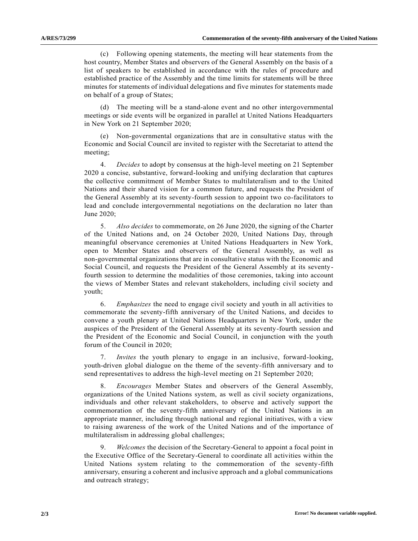(c) Following opening statements, the meeting will hear statements from the host country, Member States and observers of the General Assembly on the basis of a list of speakers to be established in accordance with the rules of procedure and established practice of the Assembly and the time limits for statements will be three minutes for statements of individual delegations and five minutes for statements made on behalf of a group of States;

(d) The meeting will be a stand-alone event and no other intergovernmental meetings or side events will be organized in parallel at United Nations Headquarters in New York on 21 September 2020;

(e) Non-governmental organizations that are in consultative status with the Economic and Social Council are invited to register with the Secretariat to attend the meeting;

4. *Decides* to adopt by consensus at the high-level meeting on 21 September 2020 a concise, substantive, forward-looking and unifying declaration that captures the collective commitment of Member States to multilateralism and to the United Nations and their shared vision for a common future, and requests the President of the General Assembly at its seventy-fourth session to appoint two co-facilitators to lead and conclude intergovernmental negotiations on the declaration no later than June 2020;

5. *Also decides* to commemorate, on 26 June 2020, the signing of the Charter of the United Nations and, on 24 October 2020, United Nations Day, through meaningful observance ceremonies at United Nations Headquarters in New York, open to Member States and observers of the General Assembly, as well as non-governmental organizations that are in consultative status with the Economic and Social Council, and requests the President of the General Assembly at its seventyfourth session to determine the modalities of those ceremonies, taking into account the views of Member States and relevant stakeholders, including civil society and youth;

6. *Emphasizes* the need to engage civil society and youth in all activities to commemorate the seventy-fifth anniversary of the United Nations, and decides to convene a youth plenary at United Nations Headquarters in New York, under the auspices of the President of the General Assembly at its seventy-fourth session and the President of the Economic and Social Council, in conjunction with the youth forum of the Council in 2020;

7. *Invites* the youth plenary to engage in an inclusive, forward-looking, youth-driven global dialogue on the theme of the seventy-fifth anniversary and to send representatives to address the high-level meeting on 21 September 2020;

8. *Encourages* Member States and observers of the General Assembly, organizations of the United Nations system, as well as civil society organizations, individuals and other relevant stakeholders, to observe and actively support the commemoration of the seventy-fifth anniversary of the United Nations in an appropriate manner, including through national and regional initiatives, with a view to raising awareness of the work of the United Nations and of the importance of multilateralism in addressing global challenges;

9. *Welcomes* the decision of the Secretary-General to appoint a focal point in the Executive Office of the Secretary-General to coordinate all activities within the United Nations system relating to the commemoration of the seventy-fifth anniversary, ensuring a coherent and inclusive approach and a global communications and outreach strategy;